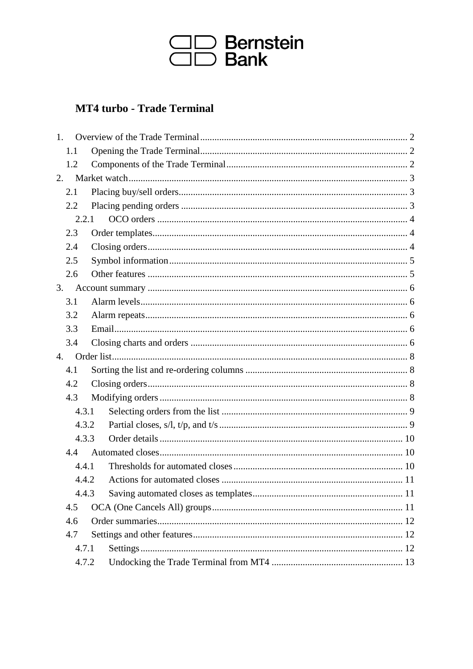

# **MT4 turbo - Trade Terminal**

| 1.                                                    |       |  |  |  |
|-------------------------------------------------------|-------|--|--|--|
|                                                       | 1.1   |  |  |  |
|                                                       | 1.2   |  |  |  |
| 2.                                                    |       |  |  |  |
|                                                       | 2.1   |  |  |  |
|                                                       | 2.2   |  |  |  |
|                                                       | 2.2.1 |  |  |  |
|                                                       | 2.3   |  |  |  |
|                                                       | 2.4   |  |  |  |
|                                                       | 2.5   |  |  |  |
|                                                       | 2.6   |  |  |  |
| 3.                                                    |       |  |  |  |
|                                                       | 3.1   |  |  |  |
|                                                       | 3.2   |  |  |  |
|                                                       | 3.3   |  |  |  |
|                                                       | 3.4   |  |  |  |
| 4.                                                    |       |  |  |  |
|                                                       | 4.1   |  |  |  |
| 4.2                                                   |       |  |  |  |
|                                                       | 4.3   |  |  |  |
| 4.3.1<br>4.3.2<br>4.3.3<br>4.4                        |       |  |  |  |
|                                                       |       |  |  |  |
|                                                       |       |  |  |  |
|                                                       |       |  |  |  |
|                                                       | 4.4.1 |  |  |  |
| 4.4.2<br>4.4.3<br>4.5<br>4.6<br>4.7<br>4.7.1<br>4.7.2 |       |  |  |  |
|                                                       |       |  |  |  |
|                                                       |       |  |  |  |
|                                                       |       |  |  |  |
|                                                       |       |  |  |  |
|                                                       |       |  |  |  |
|                                                       |       |  |  |  |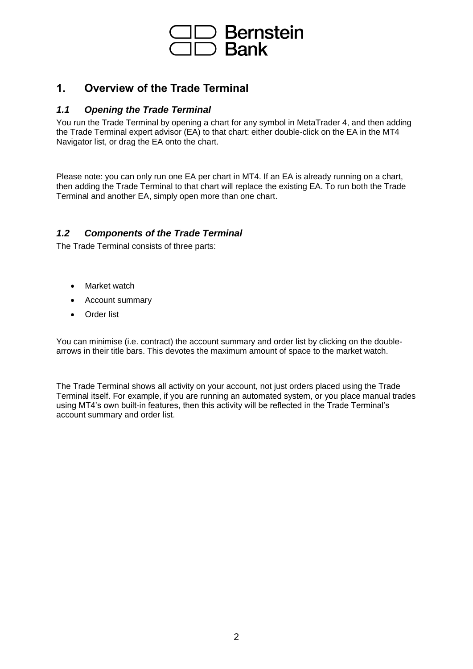

# <span id="page-1-0"></span>**1. Overview of the Trade Terminal**

## <span id="page-1-1"></span>*1.1 Opening the Trade Terminal*

You run the Trade Terminal by opening a chart for any symbol in MetaTrader 4, and then adding the Trade Terminal expert advisor (EA) to that chart: either double-click on the EA in the MT4 Navigator list, or drag the EA onto the chart.

Please note: you can only run one EA per chart in MT4. If an EA is already running on a chart, then adding the Trade Terminal to that chart will replace the existing EA. To run both the Trade Terminal and another EA, simply open more than one chart.

## <span id="page-1-2"></span>*1.2 Components of the Trade Terminal*

The Trade Terminal consists of three parts:

- Market watch
- Account summary
- Order list

You can minimise (i.e. contract) the account summary and order list by clicking on the doublearrows in their title bars. This devotes the maximum amount of space to the market watch.

The Trade Terminal shows all activity on your account, not just orders placed using the Trade Terminal itself. For example, if you are running an automated system, or you place manual trades using MT4's own built-in features, then this activity will be reflected in the Trade Terminal's account summary and order list.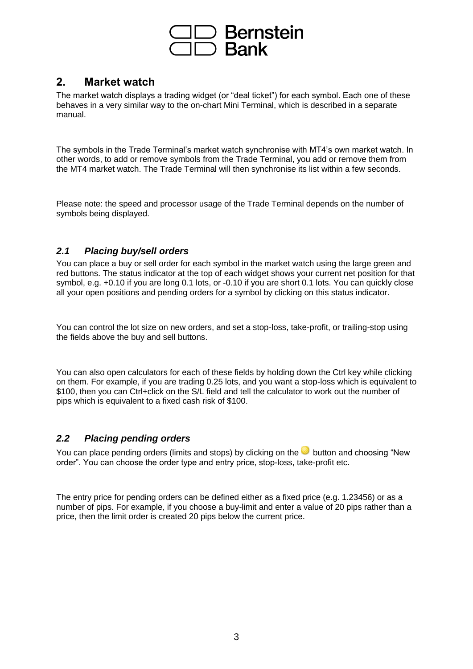

# <span id="page-2-0"></span>**2. Market watch**

The market watch displays a trading widget (or "deal ticket") for each symbol. Each one of these behaves in a very similar way to the on-chart Mini Terminal, which is described in a separate manual.

The symbols in the Trade Terminal's market watch synchronise with MT4's own market watch. In other words, to add or remove symbols from the Trade Terminal, you add or remove them from the MT4 market watch. The Trade Terminal will then synchronise its list within a few seconds.

Please note: the speed and processor usage of the Trade Terminal depends on the number of symbols being displayed.

## <span id="page-2-1"></span>*2.1 Placing buy/sell orders*

You can place a buy or sell order for each symbol in the market watch using the large green and red buttons. The status indicator at the top of each widget shows your current net position for that symbol, e.g. +0.10 if you are long 0.1 lots, or -0.10 if you are short 0.1 lots. You can quickly close all your open positions and pending orders for a symbol by clicking on this status indicator.

You can control the lot size on new orders, and set a stop-loss, take-profit, or trailing-stop using the fields above the buy and sell buttons.

You can also open calculators for each of these fields by holding down the Ctrl key while clicking on them. For example, if you are trading 0.25 lots, and you want a stop-loss which is equivalent to \$100, then you can Ctrl+click on the S/L field and tell the calculator to work out the number of pips which is equivalent to a fixed cash risk of \$100.

## <span id="page-2-2"></span>*2.2 Placing pending orders*

You can place pending orders (limits and stops) by clicking on the button and choosing "New order". You can choose the order type and entry price, stop-loss, take-profit etc.

The entry price for pending orders can be defined either as a fixed price (e.g. 1.23456) or as a number of pips. For example, if you choose a buy-limit and enter a value of 20 pips rather than a price, then the limit order is created 20 pips below the current price.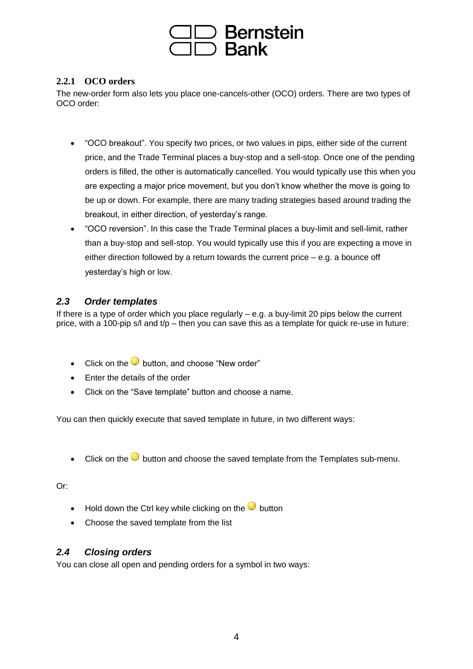

## <span id="page-3-0"></span>**2.2.1 OCO orders**

The new-order form also lets you place one-cancels-other (OCO) orders. There are two types of OCO order:

- "OCO breakout". You specify two prices, or two values in pips, either side of the current price, and the Trade Terminal places a buy-stop and a sell-stop. Once one of the pending orders is filled, the other is automatically cancelled. You would typically use this when you are expecting a major price movement, but you don't know whether the move is going to be up or down. For example, there are many trading strategies based around trading the breakout, in either direction, of yesterday's range.
- "OCO reversion". In this case the Trade Terminal places a buy-limit and sell-limit, rather than a buy-stop and sell-stop. You would typically use this if you are expecting a move in either direction followed by a return towards the current price – e.g. a bounce off yesterday's high or low.

## <span id="page-3-1"></span>*2.3 Order templates*

If there is a type of order which you place regularly – e.g. a buy-limit 20 pips below the current price, with a 100-pip s/l and  $t/p$  – then you can save this as a template for quick re-use in future:

- Click on the **button**, and choose "New order"
- Enter the details of the order
- Click on the "Save template" button and choose a name.

You can then quickly execute that saved template in future, in two different ways:

• Click on the button and choose the saved template from the Templates sub-menu.

Or:

- Hold down the Ctrl key while clicking on the **button**
- Choose the saved template from the list

## <span id="page-3-2"></span>*2.4 Closing orders*

You can close all open and pending orders for a symbol in two ways: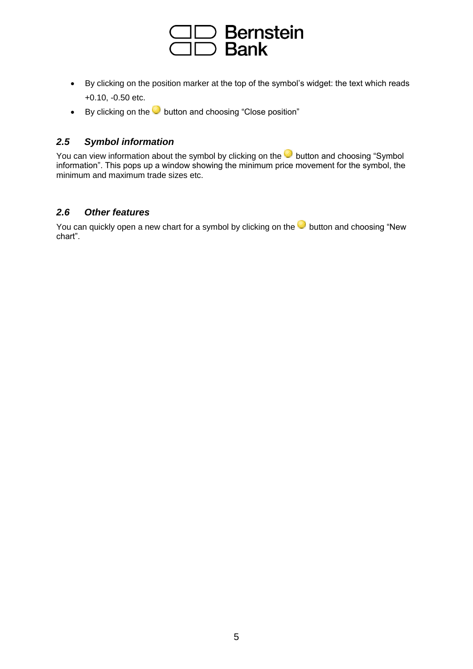

- By clicking on the position marker at the top of the symbol's widget: the text which reads +0.10, -0.50 etc.
- By clicking on the **button and choosing "Close position"**

# <span id="page-4-0"></span>*2.5 Symbol information*

You can view information about the symbol by clicking on the **button and choosing "Symbol**" information". This pops up a window showing the minimum price movement for the symbol, the minimum and maximum trade sizes etc.

## <span id="page-4-1"></span>*2.6 Other features*

You can quickly open a new chart for a symbol by clicking on the **button and choosing "New** chart".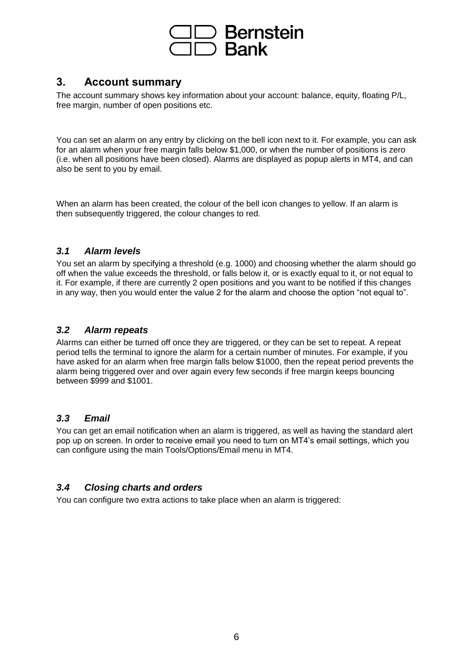

# <span id="page-5-0"></span>**3. Account summary**

The account summary shows key information about your account: balance, equity, floating P/L, free margin, number of open positions etc.

You can set an alarm on any entry by clicking on the bell icon next to it. For example, you can ask for an alarm when your free margin falls below \$1,000, or when the number of positions is zero (i.e. when all positions have been closed). Alarms are displayed as popup alerts in MT4, and can also be sent to you by email.

When an alarm has been created, the colour of the bell icon changes to yellow. If an alarm is then subsequently triggered, the colour changes to red.

# <span id="page-5-1"></span>*3.1 Alarm levels*

You set an alarm by specifying a threshold (e.g. 1000) and choosing whether the alarm should go off when the value exceeds the threshold, or falls below it, or is exactly equal to it, or not equal to it. For example, if there are currently 2 open positions and you want to be notified if this changes in any way, then you would enter the value 2 for the alarm and choose the option "not equal to".

## <span id="page-5-2"></span>*3.2 Alarm repeats*

Alarms can either be turned off once they are triggered, or they can be set to repeat. A repeat period tells the terminal to ignore the alarm for a certain number of minutes. For example, if you have asked for an alarm when free margin falls below \$1000, then the repeat period prevents the alarm being triggered over and over again every few seconds if free margin keeps bouncing between \$999 and \$1001.

## <span id="page-5-3"></span>*3.3 Email*

You can get an email notification when an alarm is triggered, as well as having the standard alert pop up on screen. In order to receive email you need to turn on MT4's email settings, which you can configure using the main Tools/Options/Email menu in MT4.

# <span id="page-5-4"></span>*3.4 Closing charts and orders*

You can configure two extra actions to take place when an alarm is triggered: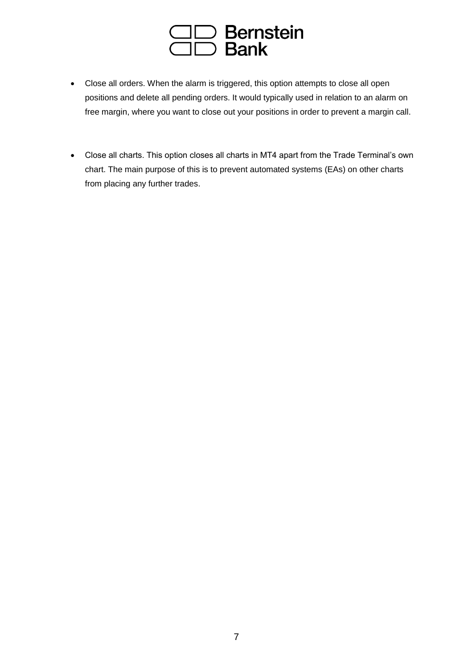

- Close all orders. When the alarm is triggered, this option attempts to close all open positions and delete all pending orders. It would typically used in relation to an alarm on free margin, where you want to close out your positions in order to prevent a margin call.
- Close all charts. This option closes all charts in MT4 apart from the Trade Terminal's own chart. The main purpose of this is to prevent automated systems (EAs) on other charts from placing any further trades.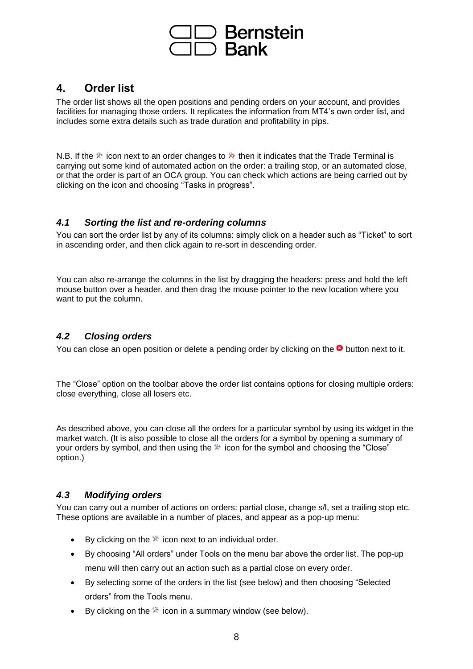

# <span id="page-7-0"></span>**4. Order list**

The order list shows all the open positions and pending orders on your account, and provides facilities for managing those orders. It replicates the information from MT4's own order list, and includes some extra details such as trade duration and profitability in pips.

N.B. If the  $\aleph$  icon next to an order changes to  $\aleph$  then it indicates that the Trade Terminal is carrying out some kind of automated action on the order: a trailing stop, or an automated close, or that the order is part of an OCA group. You can check which actions are being carried out by clicking on the icon and choosing "Tasks in progress".

#### <span id="page-7-1"></span>*4.1 Sorting the list and re-ordering columns*

You can sort the order list by any of its columns: simply click on a header such as "Ticket" to sort in ascending order, and then click again to re-sort in descending order.

You can also re-arrange the columns in the list by dragging the headers: press and hold the left mouse button over a header, and then drag the mouse pointer to the new location where you want to put the column.

# <span id="page-7-2"></span>*4.2 Closing orders*

You can close an open position or delete a pending order by clicking on the  $\bullet$  button next to it.

The "Close" option on the toolbar above the order list contains options for closing multiple orders: close everything, close all losers etc.

As described above, you can close all the orders for a particular symbol by using its widget in the market watch. (It is also possible to close all the orders for a symbol by opening a summary of your orders by symbol, and then using the  $\Re$  icon for the symbol and choosing the "Close" option.)

# <span id="page-7-3"></span>*4.3 Modifying orders*

You can carry out a number of actions on orders: partial close, change s/l, set a trailing stop etc. These options are available in a number of places, and appear as a pop-up menu:

- By clicking on the  $\mathbb{R}$  icon next to an individual order.
- By choosing "All orders" under Tools on the menu bar above the order list. The pop-up menu will then carry out an action such as a partial close on every order.
- By selecting some of the orders in the list (see below) and then choosing "Selected orders" from the Tools menu.
- By clicking on the  $\aleph$  icon in a summary window (see below).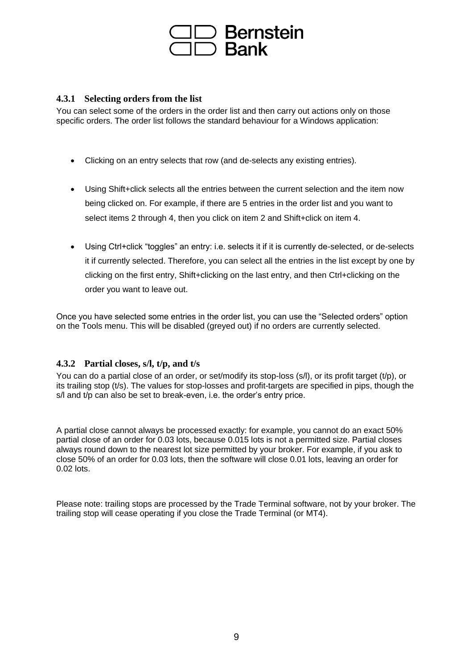

#### <span id="page-8-0"></span>**4.3.1 Selecting orders from the list**

You can select some of the orders in the order list and then carry out actions only on those specific orders. The order list follows the standard behaviour for a Windows application:

- Clicking on an entry selects that row (and de-selects any existing entries).
- Using Shift+click selects all the entries between the current selection and the item now being clicked on. For example, if there are 5 entries in the order list and you want to select items 2 through 4, then you click on item 2 and Shift+click on item 4.
- Using Ctrl+click "toggles" an entry: i.e. selects it if it is currently de-selected, or de-selects it if currently selected. Therefore, you can select all the entries in the list except by one by clicking on the first entry, Shift+clicking on the last entry, and then Ctrl+clicking on the order you want to leave out.

Once you have selected some entries in the order list, you can use the "Selected orders" option on the Tools menu. This will be disabled (greyed out) if no orders are currently selected.

## <span id="page-8-1"></span>**4.3.2 Partial closes, s/l, t/p, and t/s**

You can do a partial close of an order, or set/modify its stop-loss (s/l), or its profit target (t/p), or its trailing stop (t/s). The values for stop-losses and profit-targets are specified in pips, though the s/l and t/p can also be set to break-even, i.e. the order's entry price.

A partial close cannot always be processed exactly: for example, you cannot do an exact 50% partial close of an order for 0.03 lots, because 0.015 lots is not a permitted size. Partial closes always round down to the nearest lot size permitted by your broker. For example, if you ask to close 50% of an order for 0.03 lots, then the software will close 0.01 lots, leaving an order for 0.02 lots.

Please note: trailing stops are processed by the Trade Terminal software, not by your broker. The trailing stop will cease operating if you close the Trade Terminal (or MT4).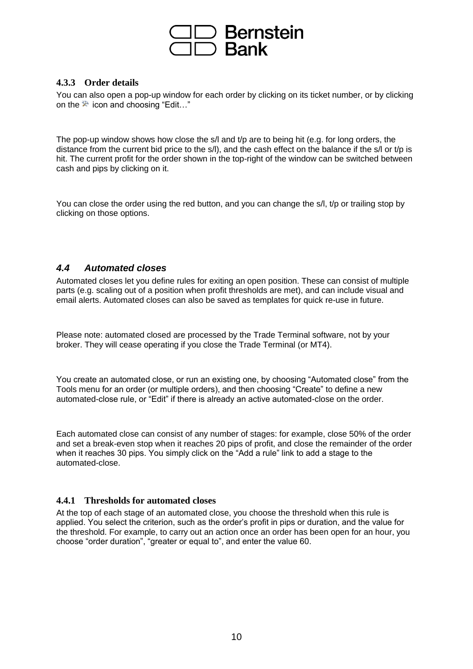

#### <span id="page-9-0"></span>**4.3.3 Order details**

You can also open a pop-up window for each order by clicking on its ticket number, or by clicking on the  $\mathbb{R}$  icon and choosing "Edit..."

The pop-up window shows how close the s/l and t/p are to being hit (e.g. for long orders, the distance from the current bid price to the s/l), and the cash effect on the balance if the s/l or t/p is hit. The current profit for the order shown in the top-right of the window can be switched between cash and pips by clicking on it.

You can close the order using the red button, and you can change the s/l, t/p or trailing stop by clicking on those options.

#### <span id="page-9-1"></span>*4.4 Automated closes*

Automated closes let you define rules for exiting an open position. These can consist of multiple parts (e.g. scaling out of a position when profit thresholds are met), and can include visual and email alerts. Automated closes can also be saved as templates for quick re-use in future.

Please note: automated closed are processed by the Trade Terminal software, not by your broker. They will cease operating if you close the Trade Terminal (or MT4).

You create an automated close, or run an existing one, by choosing "Automated close" from the Tools menu for an order (or multiple orders), and then choosing "Create" to define a new automated-close rule, or "Edit" if there is already an active automated-close on the order.

Each automated close can consist of any number of stages: for example, close 50% of the order and set a break-even stop when it reaches 20 pips of profit, and close the remainder of the order when it reaches 30 pips. You simply click on the "Add a rule" link to add a stage to the automated-close.

#### <span id="page-9-2"></span>**4.4.1 Thresholds for automated closes**

<span id="page-9-3"></span>At the top of each stage of an automated close, you choose the threshold when this rule is applied. You select the criterion, such as the order's profit in pips or duration, and the value for the threshold. For example, to carry out an action once an order has been open for an hour, you choose "order duration", "greater or equal to", and enter the value 60.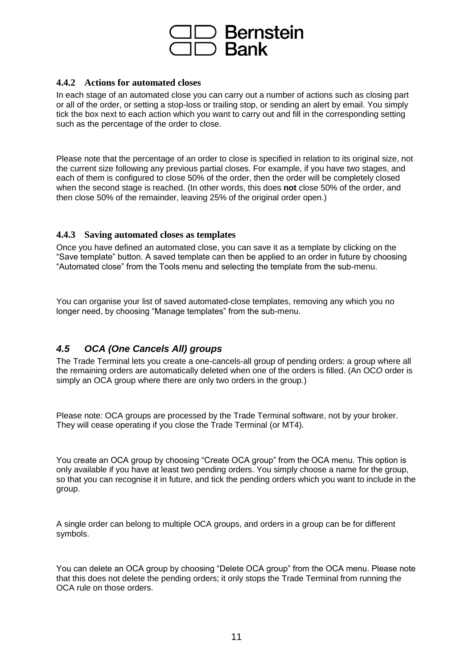

#### **4.4.2 Actions for automated closes**

In each stage of an automated close you can carry out a number of actions such as closing part or all of the order, or setting a stop-loss or trailing stop, or sending an alert by email. You simply tick the box next to each action which you want to carry out and fill in the corresponding setting such as the percentage of the order to close.

Please note that the percentage of an order to close is specified in relation to its original size, not the current size following any previous partial closes. For example, if you have two stages, and each of them is configured to close 50% of the order, then the order will be completely closed when the second stage is reached. (In other words, this does **not** close 50% of the order, and then close 50% of the remainder, leaving 25% of the original order open.)

#### <span id="page-10-0"></span>**4.4.3 Saving automated closes as templates**

Once you have defined an automated close, you can save it as a template by clicking on the "Save template" button. A saved template can then be applied to an order in future by choosing "Automated close" from the Tools menu and selecting the template from the sub-menu.

You can organise your list of saved automated-close templates, removing any which you no longer need, by choosing "Manage templates" from the sub-menu.

# <span id="page-10-1"></span>*4.5 OCA (One Cancels All) groups*

The Trade Terminal lets you create a one-cancels-all group of pending orders: a group where all the remaining orders are automatically deleted when one of the orders is filled. (An OC*O* order is simply an OCA group where there are only two orders in the group.)

Please note: OCA groups are processed by the Trade Terminal software, not by your broker. They will cease operating if you close the Trade Terminal (or MT4).

You create an OCA group by choosing "Create OCA group" from the OCA menu. This option is only available if you have at least two pending orders. You simply choose a name for the group, so that you can recognise it in future, and tick the pending orders which you want to include in the group.

A single order can belong to multiple OCA groups, and orders in a group can be for different symbols.

You can delete an OCA group by choosing "Delete OCA group" from the OCA menu. Please note that this does not delete the pending orders; it only stops the Trade Terminal from running the OCA rule on those orders.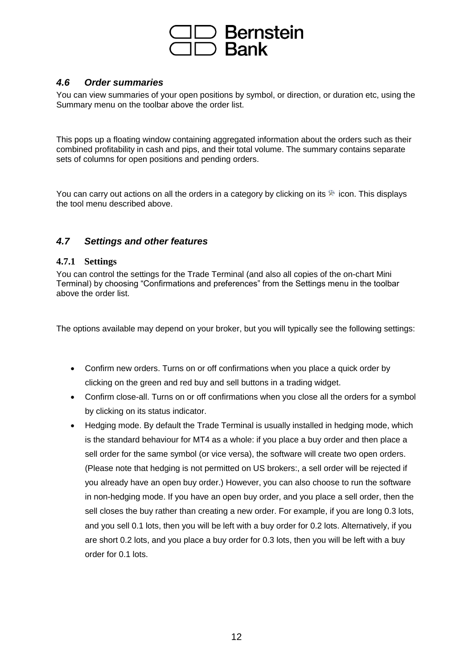

## <span id="page-11-0"></span>*4.6 Order summaries*

You can view summaries of your open positions by symbol, or direction, or duration etc, using the Summary menu on the toolbar above the order list.

This pops up a floating window containing aggregated information about the orders such as their combined profitability in cash and pips, and their total volume. The summary contains separate sets of columns for open positions and pending orders.

You can carry out actions on all the orders in a category by clicking on its  $\mathbb R$  icon. This displays the tool menu described above.

## <span id="page-11-1"></span>*4.7 Settings and other features*

#### <span id="page-11-2"></span>**4.7.1 Settings**

You can control the settings for the Trade Terminal (and also all copies of the on-chart Mini Terminal) by choosing "Confirmations and preferences" from the Settings menu in the toolbar above the order list.

The options available may depend on your broker, but you will typically see the following settings:

- Confirm new orders. Turns on or off confirmations when you place a quick order by clicking on the green and red buy and sell buttons in a trading widget.
- Confirm close-all. Turns on or off confirmations when you close all the orders for a symbol by clicking on its status indicator.
- Hedging mode. By default the Trade Terminal is usually installed in hedging mode, which is the standard behaviour for MT4 as a whole: if you place a buy order and then place a sell order for the same symbol (or vice versa), the software will create two open orders. (Please note that hedging is not permitted on US brokers:, a sell order will be rejected if you already have an open buy order.) However, you can also choose to run the software in non-hedging mode. If you have an open buy order, and you place a sell order, then the sell closes the buy rather than creating a new order. For example, if you are long 0.3 lots, and you sell 0.1 lots, then you will be left with a buy order for 0.2 lots. Alternatively, if you are short 0.2 lots, and you place a buy order for 0.3 lots, then you will be left with a buy order for 0.1 lots.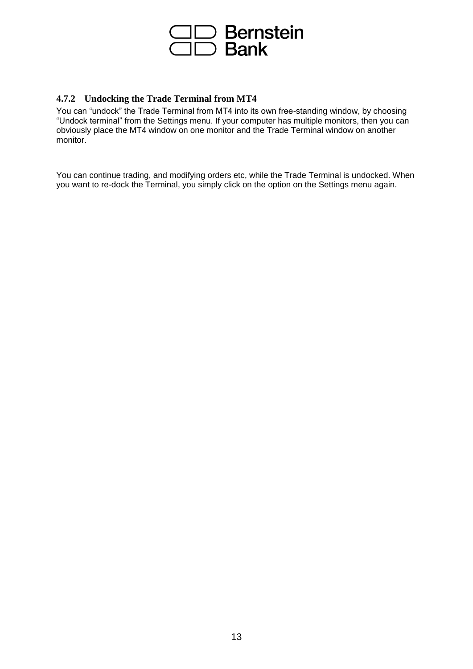

## <span id="page-12-0"></span>**4.7.2 Undocking the Trade Terminal from MT4**

You can "undock" the Trade Terminal from MT4 into its own free-standing window, by choosing "Undock terminal" from the Settings menu. If your computer has multiple monitors, then you can obviously place the MT4 window on one monitor and the Trade Terminal window on another monitor.

You can continue trading, and modifying orders etc, while the Trade Terminal is undocked. When you want to re-dock the Terminal, you simply click on the option on the Settings menu again.